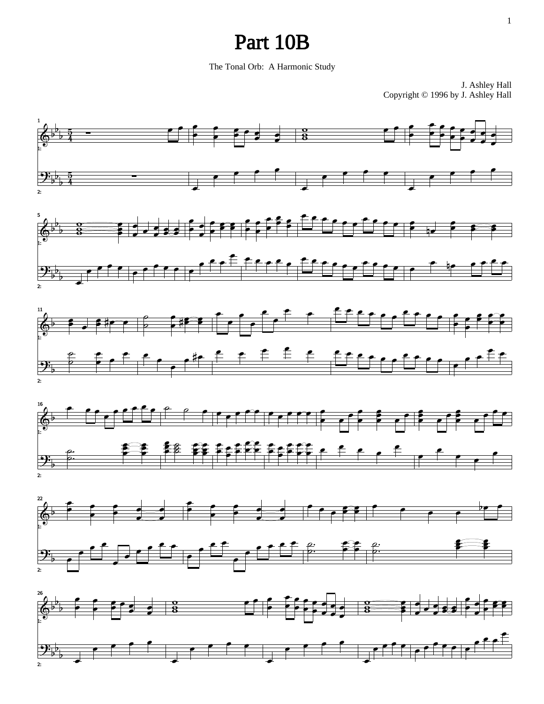## Part 10B

The Tonal Orb: A Harmonic Study

J. Ashley Hall Copyright © 1996 by J. Ashley Hall